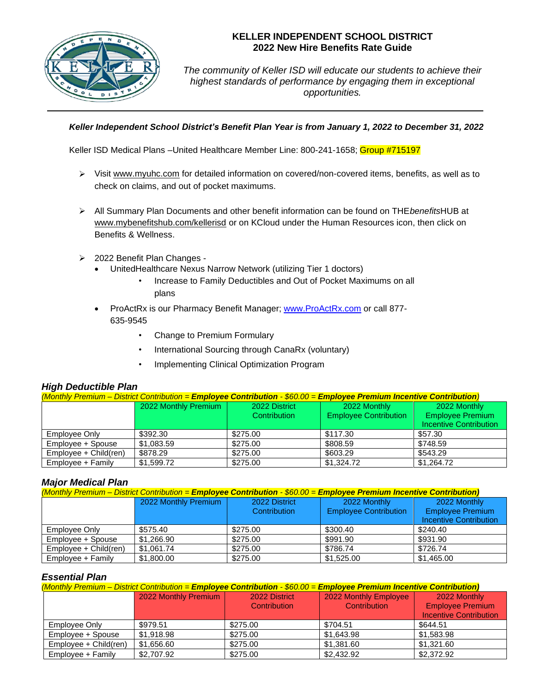

## **KELLER INDEPENDENT SCHOOL DISTRICT 2022 New Hire Benefits Rate Guide**

*The community of Keller ISD will educate our students to achieve their highest standards of performance by engaging them in exceptional opportunities.*

### *Keller Independent School District's Benefit Plan Year is from January 1, 2022 to December 31, 2022*

Keller ISD Medical Plans –United Healthcare Member Line: 800-241-1658; Group #715197

- ➢ Visit [www.myuhc.com](http://www.myuhc.com/) for detailed information on covered/non-covered items, benefits, as well as to check on claims, and out of pocket maximums.
- ➢ All Summary Plan Documents and other benefit information can be found on THE*benefits*HUB at [www.mybenefitshub.com/kellerisd](http://www.mybenefitshub.com/kellerisd) or on KCloud under the Human Resources icon, then click on Benefits & Wellness.
- ➢ 2022 Benefit Plan Changes
	- UnitedHealthcare Nexus Narrow Network (utilizing Tier 1 doctors)
		- Increase to Family Deductibles and Out of Pocket Maximums on all plans
	- ProActRx is our Pharmacy Benefit Manager; [www.ProActRx.com](http://www.proactrx.com/) or call 877-635-9545
		- Change to Premium Formulary
		- International Sourcing through CanaRx (voluntary)
		- Implementing Clinical Optimization Program

## *High Deductible Plan*

| (Monthly Premium – District Contribution = Employee Contribution - \$60.00 = Employee Premium Incentive Contribution) |                      |               |                              |                               |  |
|-----------------------------------------------------------------------------------------------------------------------|----------------------|---------------|------------------------------|-------------------------------|--|
|                                                                                                                       | 2022 Monthly Premium | 2022 District | 2022 Monthly                 | 2022 Monthly                  |  |
|                                                                                                                       |                      | Contribution  | <b>Employee Contribution</b> | <b>Employee Premium</b>       |  |
|                                                                                                                       |                      |               |                              | <b>Incentive Contribution</b> |  |
| Employee Only                                                                                                         | \$392.30             | \$275.00      | \$117.30                     | \$57.30                       |  |
| Employee + Spouse                                                                                                     | \$1.083.59           | \$275.00      | \$808.59                     | \$748.59                      |  |
| Employee + Child(ren)                                                                                                 | \$878.29             | \$275.00      | \$603.29                     | \$543.29                      |  |
| Employee + Family                                                                                                     | \$1.599.72           | \$275.00      | \$1.324.72                   | \$1,264.72                    |  |

## *Major Medical Plan*

| (Monthly Premium – District Contribution = Employee Contribution - \$60.00 = Employee Premium Incentive Contribution) |                      |                     |                              |                                                          |
|-----------------------------------------------------------------------------------------------------------------------|----------------------|---------------------|------------------------------|----------------------------------------------------------|
|                                                                                                                       | 2022 Monthly Premium | 2022 District       | 2022 Monthly                 | 2022 Monthly                                             |
|                                                                                                                       |                      | <b>Contribution</b> | <b>Employee Contribution</b> | <b>Employee Premium</b><br><b>Incentive Contribution</b> |
| Employee Only                                                                                                         | \$575.40             | \$275.00            | \$300.40                     | \$240.40                                                 |
| Employee + Spouse                                                                                                     | \$1,266.90           | \$275.00            | \$991.90                     | \$931.90                                                 |
| Employee + Child(ren)                                                                                                 | \$1,061.74           | \$275.00            | \$786.74                     | \$726.74                                                 |
| Employee + Family                                                                                                     | \$1,800.00           | \$275.00            | \$1.525.00                   | \$1,465,00                                               |

## *Essential Plan*

| (Monthly Premium – District Contribution = Employee Contribution - \$60.00 = Employee Premium Incentive Contribution) |                      |               |                       |                               |
|-----------------------------------------------------------------------------------------------------------------------|----------------------|---------------|-----------------------|-------------------------------|
|                                                                                                                       | 2022 Monthly Premium | 2022 District | 2022 Monthly Employee | 2022 Monthly                  |
|                                                                                                                       |                      | Contribution  | Contribution          | <b>Employee Premium</b>       |
|                                                                                                                       |                      |               |                       | <b>Incentive Contribution</b> |
| Employee Only                                                                                                         | \$979.51             | \$275.00      | \$704.51              | \$644.51                      |
| Employee + Spouse                                                                                                     | \$1,918.98           | \$275.00      | \$1.643.98            | \$1.583.98                    |
| Employee + Child(ren)                                                                                                 | \$1,656.60           | \$275.00      | \$1,381.60            | \$1.321.60                    |
| Employee + Family                                                                                                     | \$2,707.92           | \$275.00      | \$2,432.92            | \$2,372.92                    |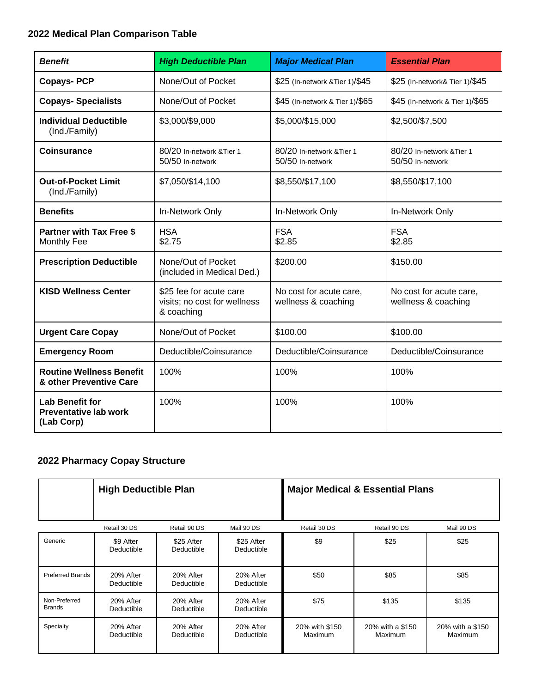# **2022 Medical Plan Comparison Table**

| <b>Benefit</b>                                                       | <b>High Deductible Plan</b>                                           | <b>Major Medical Plan</b>                      | <b>Essential Plan</b>                          |
|----------------------------------------------------------------------|-----------------------------------------------------------------------|------------------------------------------------|------------------------------------------------|
| <b>Copays-PCP</b>                                                    | None/Out of Pocket                                                    | \$25 (In-network & Tier 1)/\$45                | \$25 (In-network& Tier 1)/\$45                 |
| <b>Copays-Specialists</b>                                            | None/Out of Pocket                                                    | \$45 (In-network & Tier 1)/\$65                | \$45 (In-network & Tier 1)/\$65                |
| <b>Individual Deductible</b><br>(Ind./Family)                        | \$3,000/\$9,000                                                       | \$5,000/\$15,000                               | \$2,500/\$7,500                                |
| <b>Coinsurance</b>                                                   | 80/20 In-network & Tier 1<br>50/50 In-network                         | 80/20 In-network & Tier 1<br>50/50 In-network  | 80/20 In-network & Tier 1<br>50/50 In-network  |
| <b>Out-of-Pocket Limit</b><br>(Ind./Family)                          | \$7,050/\$14,100                                                      | \$8,550/\$17,100                               | \$8,550/\$17,100                               |
| <b>Benefits</b>                                                      | In-Network Only                                                       | In-Network Only                                | In-Network Only                                |
| <b>Partner with Tax Free \$</b><br>Monthly Fee                       | <b>HSA</b><br>\$2.75                                                  | <b>FSA</b><br>\$2.85                           | <b>FSA</b><br>\$2.85                           |
| <b>Prescription Deductible</b>                                       | None/Out of Pocket<br>(included in Medical Ded.)                      | \$200.00                                       | \$150.00                                       |
| <b>KISD Wellness Center</b>                                          | \$25 fee for acute care<br>visits; no cost for wellness<br>& coaching | No cost for acute care,<br>wellness & coaching | No cost for acute care,<br>wellness & coaching |
| <b>Urgent Care Copay</b>                                             | None/Out of Pocket                                                    | \$100.00                                       | \$100.00                                       |
| <b>Emergency Room</b>                                                | Deductible/Coinsurance                                                | Deductible/Coinsurance                         | Deductible/Coinsurance                         |
| <b>Routine Wellness Benefit</b><br>& other Preventive Care           | 100%                                                                  | 100%                                           | 100%                                           |
| <b>Lab Benefit for</b><br><b>Preventative lab work</b><br>(Lab Corp) | 100%                                                                  | 100%                                           | 100%                                           |

# **2022 Pharmacy Copay Structure**

|                                | <b>High Deductible Plan</b> |                          |                          |                           | <b>Major Medical &amp; Essential Plans</b> |                             |
|--------------------------------|-----------------------------|--------------------------|--------------------------|---------------------------|--------------------------------------------|-----------------------------|
|                                | Retail 30 DS                | Retail 90 DS             | Mail 90 DS               | Retail 30 DS              | Retail 90 DS                               | Mail 90 DS                  |
| Generic                        | \$9 After<br>Deductible     | \$25 After<br>Deductible | \$25 After<br>Deductible | \$9                       | \$25                                       | \$25                        |
| <b>Preferred Brands</b>        | 20% After<br>Deductible     | 20% After<br>Deductible  | 20% After<br>Deductible  | \$50                      | \$85                                       | \$85                        |
| Non-Preferred<br><b>Brands</b> | 20% After<br>Deductible     | 20% After<br>Deductible  | 20% After<br>Deductible  | \$75                      | \$135                                      | \$135                       |
| Specialty                      | 20% After<br>Deductible     | 20% After<br>Deductible  | 20% After<br>Deductible  | 20% with \$150<br>Maximum | 20% with a \$150<br>Maximum                | 20% with a \$150<br>Maximum |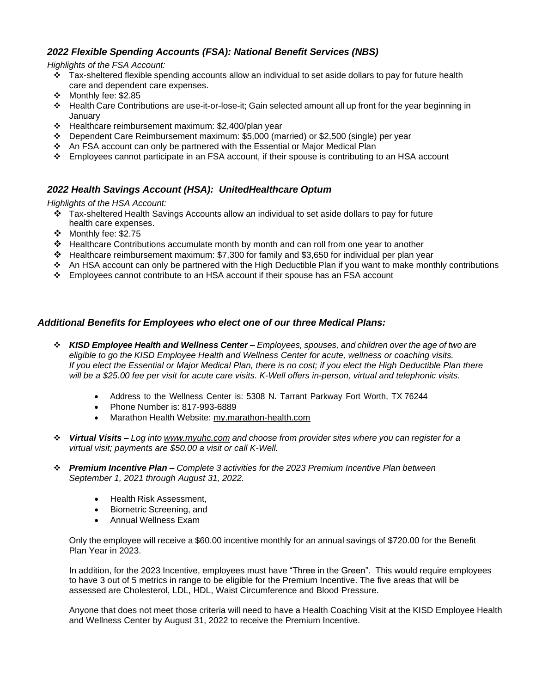## *2022 Flexible Spending Accounts (FSA): National Benefit Services (NBS)*

*Highlights of the FSA Account:*

- ❖ Tax-sheltered flexible spending accounts allow an individual to set aside dollars to pay for future health care and dependent care expenses.
- ❖ Monthly fee: \$2.85
- ❖ Health Care Contributions are use-it-or-lose-it; Gain selected amount all up front for the year beginning in January
- ❖ Healthcare reimbursement maximum: \$2,400/plan year
- ❖ Dependent Care Reimbursement maximum: \$5,000 (married) or \$2,500 (single) per year
- ❖ An FSA account can only be partnered with the Essential or Major Medical Plan
- ❖ Employees cannot participate in an FSA account, if their spouse is contributing to an HSA account

### *2022 Health Savings Account (HSA): UnitedHealthcare Optum*

*Highlights of the HSA Account:*

- ❖ Tax-sheltered Health Savings Accounts allow an individual to set aside dollars to pay for future health care expenses.
- ❖ Monthly fee: \$2.75
- ❖ Healthcare Contributions accumulate month by month and can roll from one year to another
- ❖ Healthcare reimbursement maximum: \$7,300 for family and \$3,650 for individual per plan year
- ❖ An HSA account can only be partnered with the High Deductible Plan if you want to make monthly contributions
- ❖ Employees cannot contribute to an HSA account if their spouse has an FSA account

### *Additional Benefits for Employees who elect one of our three Medical Plans:*

- ❖ *KISD Employee Health and Wellness Center – Employees, spouses, and children over the age of two are eligible to go the KISD Employee Health and Wellness Center for acute, wellness or coaching visits. If you elect the Essential or Major Medical Plan, there is no cost; if you elect the High Deductible Plan there will be a \$25.00 fee per visit for acute care visits. K-Well offers in-person, virtual and telephonic visits.*
	- Address to the Wellness Center is: 5308 N. Tarrant Parkway Fort Worth, TX 76244
	- Phone Number is: 817-993-6889
	- Marathon Health Website: my.marathon-health.com
- ❖ *Virtual Visits – Log into [www.myuhc.com](http://www.myuhc.com/) and choose from provider sites where you can register for a virtual visit; payments are \$50.00 a visit or call K-Well.*
- ❖ *Premium Incentive Plan – Complete 3 activities for the 2023 Premium Incentive Plan between September 1, 2021 through August 31, 2022.*
	- Health Risk Assessment,
	- Biometric Screening, and
	- Annual Wellness Exam

Only the employee will receive a \$60.00 incentive monthly for an annual savings of \$720.00 for the Benefit Plan Year in 2023.

In addition, for the 2023 Incentive, employees must have "Three in the Green". This would require employees to have 3 out of 5 metrics in range to be eligible for the Premium Incentive. The five areas that will be assessed are Cholesterol, LDL, HDL, Waist Circumference and Blood Pressure.

Anyone that does not meet those criteria will need to have a Health Coaching Visit at the KISD Employee Health and Wellness Center by August 31, 2022 to receive the Premium Incentive.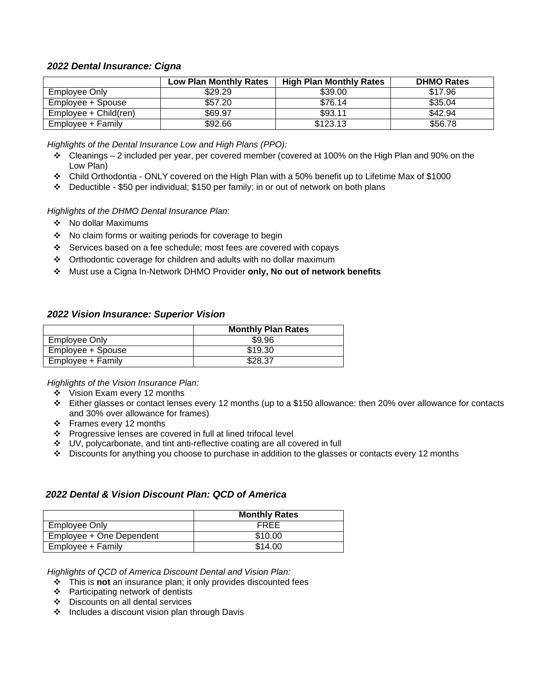### *2022 Dental Insurance: Cigna*

|                       | <b>Low Plan Monthly Rates</b> | <b>High Plan Monthly Rates</b> | <b>DHMO Rates</b> |
|-----------------------|-------------------------------|--------------------------------|-------------------|
| Employee Only         | \$29.29                       | \$39.00                        | \$17.96           |
| Employee + Spouse     | \$57.20                       | \$76.14                        | \$35.04           |
| Employee + Child(ren) | \$69.97                       | \$93.11                        | \$42.94           |
| Employee + Family     | \$92.66                       | \$123.13                       | \$56.78           |

*Highlights of the Dental Insurance Low and High Plans (PPO):*

- $\div$  Cleanings 2 included per year, per covered member (covered at 100% on the High Plan and 90% on the Low Plan)
- ❖ Child Orthodontia ONLY covered on the High Plan with a 50% benefit up to Lifetime Max of \$1000
- ❖ Deductible \$50 per individual; \$150 per family; in or out of network on both plans

#### *Highlights of the DHMO Dental Insurance Plan:*

- ❖ No dollar Maximums
- ❖ No claim forms or waiting periods for coverage to begin
- ❖ Services based on a fee schedule; most fees are covered with copays
- ❖ Orthodontic coverage for children and adults with no dollar maximum
- ❖ Must use a Cigna In-Network DHMO Provider **only, No out of network benefits**

#### *2022 Vision Insurance: Superior Vision*

|                   | <b>Monthly Plan Rates</b> |
|-------------------|---------------------------|
| Employee Only     | \$9.96                    |
| Employee + Spouse | \$19.30                   |
| Employee + Family | \$28.37                   |

*Highlights of the Vision Insurance Plan:*

- ❖ Vision Exam every 12 months
- ❖ Either glasses or contact lenses every 12 months (up to a \$150 allowance: then 20% over allowance for contacts and 30% over allowance for frames)
- ❖ Frames every 12 months
- ❖ Progressive lenses are covered in full at lined trifocal level
- ❖ UV, polycarbonate, and tint anti-reflective coating are all covered in full
- ❖ Discounts for anything you choose to purchase in addition to the glasses or contacts every 12 months

#### *2022 Dental & Vision Discount Plan: QCD of America*

|                          | <b>Monthly Rates</b> |
|--------------------------|----------------------|
| Employee Only            | FREE                 |
| Employee + One Dependent | \$10.00              |
| Employee + Family        | \$14.00              |

*Highlights of QCD of America Discount Dental and Vision Plan:*

- ❖ This is **not** an insurance plan; it only provides discounted fees
- ❖ Participating network of dentists
- ❖ Discounts on all dental services
- ❖ Includes a discount vision plan through Davis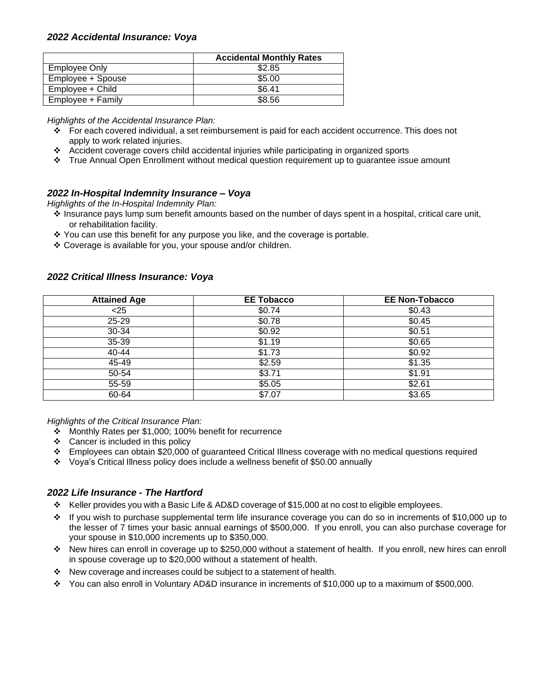### *2022 Accidental Insurance: Voya*

|                   | <b>Accidental Monthly Rates</b> |
|-------------------|---------------------------------|
| Employee Only     | \$2.85                          |
| Employee + Spouse | \$5.00                          |
| Employee + Child  | \$6.41                          |
| Employee + Family | \$8.56                          |

*Highlights of the Accidental Insurance Plan:*

- ❖ For each covered individual, a set reimbursement is paid for each accident occurrence. This does not apply to work related injuries.
- ❖ Accident coverage covers child accidental injuries while participating in organized sports
- ❖ True Annual Open Enrollment without medical question requirement up to guarantee issue amount

### *2022 In-Hospital Indemnity Insurance – Voya*

*Highlights of the In-Hospital Indemnity Plan:*

- ❖ Insurance pays lump sum benefit amounts based on the number of days spent in a hospital, critical care unit, or rehabilitation facility.
- ❖ You can use this benefit for any purpose you like, and the coverage is portable.
- ❖ Coverage is available for you, your spouse and/or children.

### *2022 Critical Illness Insurance: Voya*

| <b>Attained Age</b> | <b>EE Tobacco</b>  | <b>EE Non-Tobacco</b> |
|---------------------|--------------------|-----------------------|
| < 25                | \$0.74             | \$0.43                |
| $25 - 29$           | \$0.78             | \$0.45                |
| $30 - 34$           | \$0.92             | \$0.51                |
| $35 - 39$           | \$1.19             | \$0.65                |
| 40-44               | \$1.73             | \$0.92                |
| $45 - 49$           | \$2.59             | \$1.35                |
| 50-54               | $$3.\overline{71}$ | \$1.91                |
| 55-59               | \$5.05             | \$2.61                |
| 60-64               | \$7.07             | \$3.65                |

*Highlights of the Critical Insurance Plan:*

- ❖ Monthly Rates per \$1,000; 100% benefit for recurrence
- ❖ Cancer is included in this policy
- ❖ Employees can obtain \$20,000 of guaranteed Critical Illness coverage with no medical questions required
- ❖ Voya's Critical Illness policy does include a wellness benefit of \$50.00 annually

## *2022 Life Insurance - The Hartford*

- ❖ Keller provides you with a Basic Life & AD&D coverage of \$15,000 at no cost to eligible employees.
- ❖ If you wish to purchase supplemental term life insurance coverage you can do so in increments of \$10,000 up to the lesser of 7 times your basic annual earnings of \$500,000. If you enroll, you can also purchase coverage for your spouse in \$10,000 increments up to \$350,000.
- ❖ New hires can enroll in coverage up to \$250,000 without a statement of health. If you enroll, new hires can enroll in spouse coverage up to \$20,000 without a statement of health.
- ❖ New coverage and increases could be subject to a statement of health.
- ❖ You can also enroll in Voluntary AD&D insurance in increments of \$10,000 up to a maximum of \$500,000.